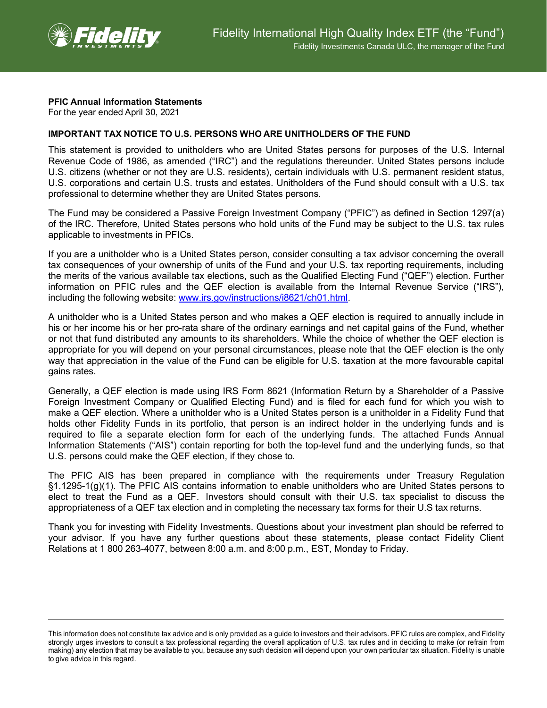

## **PFIC Annual Information Statements**

For the year ended April 30, 2021

## **IMPORTANT TAX NOTICE TO U.S. PERSONS WHO ARE UNITHOLDERS OF THE FUND**

This statement is provided to unitholders who are United States persons for purposes of the U.S. Internal Revenue Code of 1986, as amended ("IRC") and the regulations thereunder. United States persons include U.S. citizens (whether or not they are U.S. residents), certain individuals with U.S. permanent resident status, U.S. corporations and certain U.S. trusts and estates. Unitholders of the Fund should consult with a U.S. tax professional to determine whether they are United States persons.

The Fund may be considered a Passive Foreign Investment Company ("PFIC") as defined in Section 1297(a) of the IRC. Therefore, United States persons who hold units of the Fund may be subject to the U.S. tax rules applicable to investments in PFICs.

If you are a unitholder who is a United States person, consider consulting a tax advisor concerning the overall tax consequences of your ownership of units of the Fund and your U.S. tax reporting requirements, including the merits of the various available tax elections, such as the Qualified Electing Fund ("QEF") election. Further information on PFIC rules and the QEF election is available from the Internal Revenue Service ("IRS"), including the following website: [www.irs.gov/instructions/i8621/ch01.html.](http://www.irs.gov/instructions/i8621/ch01.html)

A unitholder who is a United States person and who makes a QEF election is required to annually include in his or her income his or her pro-rata share of the ordinary earnings and net capital gains of the Fund, whether or not that fund distributed any amounts to its shareholders. While the choice of whether the QEF election is appropriate for you will depend on your personal circumstances, please note that the QEF election is the only way that appreciation in the value of the Fund can be eligible for U.S. taxation at the more favourable capital gains rates.

Generally, a QEF election is made using IRS Form 8621 (Information Return by a Shareholder of a Passive Foreign Investment Company or Qualified Electing Fund) and is filed for each fund for which you wish to make a QEF election. Where a unitholder who is a United States person is a unitholder in a Fidelity Fund that holds other Fidelity Funds in its portfolio, that person is an indirect holder in the underlying funds and is required to file a separate election form for each of the underlying funds. The attached Funds Annual Information Statements ("AIS") contain reporting for both the top-level fund and the underlying funds, so that U.S. persons could make the QEF election, if they chose to.

The PFIC AIS has been prepared in compliance with the requirements under Treasury Regulation §1.1295-1(g)(1). The PFIC AIS contains information to enable unitholders who are United States persons to elect to treat the Fund as a QEF. Investors should consult with their U.S. tax specialist to discuss the appropriateness of a QEF tax election and in completing the necessary tax forms for their U.S tax returns.

Thank you for investing with Fidelity Investments. Questions about your investment plan should be referred to your advisor. If you have any further questions about these statements, please contact Fidelity Client Relations at 1 800 263-4077, between 8:00 a.m. and 8:00 p.m., EST, Monday to Friday.

This information does not constitute tax advice and is only provided as a guide to investors and their advisors. PFIC rules are complex, and Fidelity strongly urges investors to consult a tax professional regarding the overall application of U.S. tax rules and in deciding to make (or refrain from making) any election that may be available to you, because any such decision will depend upon your own particular tax situation. Fidelity is unable to give advice in this regard.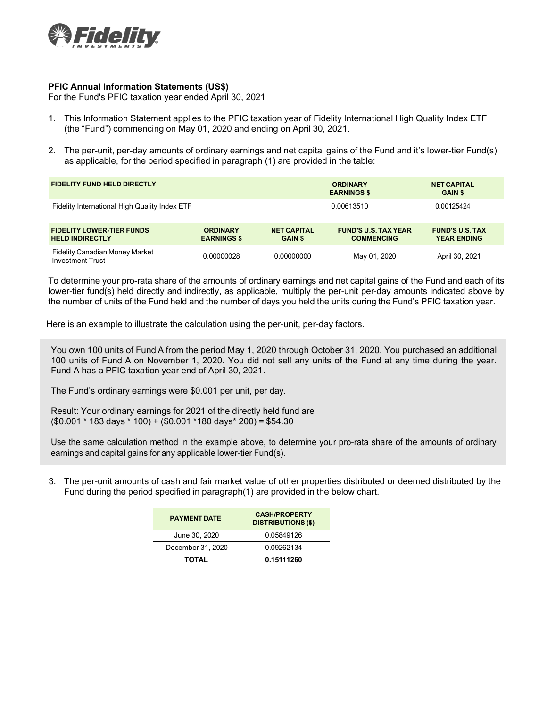

## **PFIC Annual Information Statements (US\$)**

For the Fund's PFIC taxation year ended April 30, 2021

- 1. This Information Statement applies to the PFIC taxation year of Fidelity International High Quality Index ETF (the "Fund") commencing on May 01, 2020 and ending on April 30, 2021.
- 2. The per-unit, per-day amounts of ordinary earnings and net capital gains of the Fund and it's lower-tier Fund(s) as applicable, for the period specified in paragraph (1) are provided in the table:

| <b>FIDELITY FUND HELD DIRECTLY</b>                               |                                       |                                      | <b>ORDINARY</b><br><b>EARNINGS \$</b>            | <b>NET CAPITAL</b><br><b>GAIN \$</b>         |  |
|------------------------------------------------------------------|---------------------------------------|--------------------------------------|--------------------------------------------------|----------------------------------------------|--|
| Fidelity International High Quality Index ETF                    |                                       |                                      | 0.00613510                                       | 0.00125424                                   |  |
| <b>FIDELITY LOWER-TIER FUNDS</b><br><b>HELD INDIRECTLY</b>       | <b>ORDINARY</b><br><b>EARNINGS \$</b> | <b>NET CAPITAL</b><br><b>GAIN \$</b> | <b>FUND'S U.S. TAX YEAR</b><br><b>COMMENCING</b> | <b>FUND'S U.S. TAX</b><br><b>YEAR ENDING</b> |  |
| <b>Fidelity Canadian Money Market</b><br><b>Investment Trust</b> | 0.00000028                            | 0.00000000                           | May 01, 2020                                     | April 30, 2021                               |  |

To determine your pro-rata share of the amounts of ordinary earnings and net capital gains of the Fund and each of its lower-tier fund(s) held directly and indirectly, as applicable, multiply the per-unit per-day amounts indicated above by the number of units of the Fund held and the number of days you held the units during the Fund's PFIC taxation year.

Here is an example to illustrate the calculation using the per-unit, per-day factors.

You own 100 units of Fund A from the period May 1, 2020 through October 31, 2020. You purchased an additional 100 units of Fund A on November 1, 2020. You did not sell any units of the Fund at any time during the year. Fund A has a PFIC taxation year end of April 30, 2021.

The Fund's ordinary earnings were \$0.001 per unit, per day.

Result: Your ordinary earnings for 2021 of the directly held fund are  $($0.001 * 183 \text{ days} * 100) + ($0.001 * 180 \text{ days} * 200) = $54.30$ 

Use the same calculation method in the example above, to determine your pro-rata share of the amounts of ordinary earnings and capital gains for any applicable lower-tier Fund(s).

3. The per-unit amounts of cash and fair market value of other properties distributed or deemed distributed by the Fund during the period specified in paragraph(1) are provided in the below chart.

| <b>PAYMENT DATE</b> | <b>CASH/PROPERTY</b><br><b>DISTRIBUTIONS (\$)</b> |  |  |
|---------------------|---------------------------------------------------|--|--|
| June 30, 2020       | 0.05849126                                        |  |  |
| December 31, 2020   | 0.09262134                                        |  |  |
| <b>TOTAL</b>        | 0.15111260                                        |  |  |